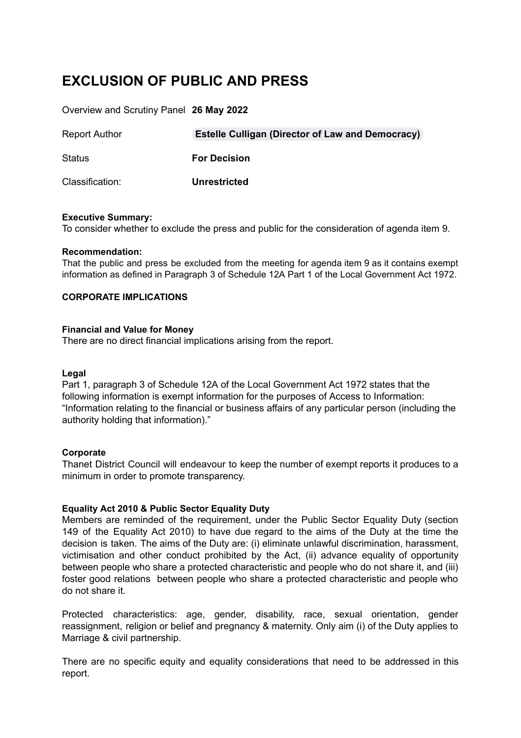# **EXCLUSION OF PUBLIC AND PRESS**

Overview and Scrutiny Panel **26 May 2022**

| <b>Report Author</b> | <b>Estelle Culligan (Director of Law and Democracy)</b> |
|----------------------|---------------------------------------------------------|
| Status               | <b>For Decision</b>                                     |
| Classification:      | <b>Unrestricted</b>                                     |

#### **Executive Summary:**

To consider whether to exclude the press and public for the consideration of agenda item 9.

#### **Recommendation:**

That the public and press be excluded from the meeting for agenda item 9 as it contains exempt information as defined in Paragraph 3 of Schedule 12A Part 1 of the Local Government Act 1972.

#### **CORPORATE IMPLICATIONS**

#### **Financial and Value for Money**

There are no direct financial implications arising from the report.

#### **Legal**

Part 1, paragraph 3 of Schedule 12A of the Local Government Act 1972 states that the following information is exempt information for the purposes of Access to Information: "Information relating to the financial or business affairs of any particular person (including the authority holding that information)."

### **Corporate**

Thanet District Council will endeavour to keep the number of exempt reports it produces to a minimum in order to promote transparency.

### **Equality Act 2010 & Public Sector Equality Duty**

Members are reminded of the requirement, under the Public Sector Equality Duty (section 149 of the Equality Act 2010) to have due regard to the aims of the Duty at the time the decision is taken. The aims of the Duty are: (i) eliminate unlawful discrimination, harassment, victimisation and other conduct prohibited by the Act, (ii) advance equality of opportunity between people who share a protected characteristic and people who do not share it, and (iii) foster good relations between people who share a protected characteristic and people who do not share it.

Protected characteristics: age, gender, disability, race, sexual orientation, gender reassignment, religion or belief and pregnancy & maternity. Only aim (i) of the Duty applies to Marriage & civil partnership.

There are no specific equity and equality considerations that need to be addressed in this report.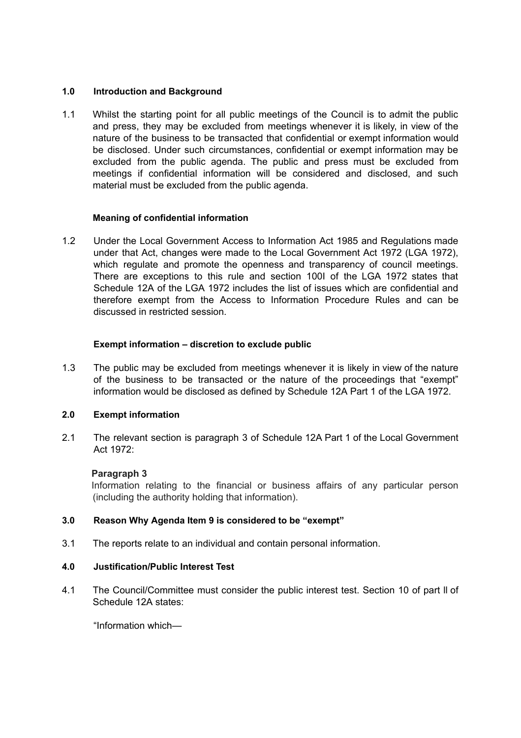### **1.0 Introduction and Background**

1.1 Whilst the starting point for all public meetings of the Council is to admit the public and press, they may be excluded from meetings whenever it is likely, in view of the nature of the business to be transacted that confidential or exempt information would be disclosed. Under such circumstances, confidential or exempt information may be excluded from the public agenda. The public and press must be excluded from meetings if confidential information will be considered and disclosed, and such material must be excluded from the public agenda.

### **Meaning of confidential information**

1.2 Under the Local Government Access to Information Act 1985 and Regulations made under that Act, changes were made to the Local Government Act 1972 (LGA 1972), which regulate and promote the openness and transparency of council meetings. There are exceptions to this rule and section 100I of the LGA 1972 states that Schedule 12A of the LGA 1972 includes the list of issues which are confidential and therefore exempt from the Access to Information Procedure Rules and can be discussed in restricted session.

## **Exempt information – discretion to exclude public**

1.3 The public may be excluded from meetings whenever it is likely in view of the nature of the business to be transacted or the nature of the proceedings that "exempt" information would be disclosed as defined by Schedule 12A Part 1 of the LGA 1972.

### **2.0 Exempt information**

2.1 The relevant section is paragraph 3 of Schedule 12A Part 1 of the Local Government Act 1972:

# **Paragraph 3**

Information relating to the financial or business affairs of any particular person (including the authority holding that information).

# **3.0 Reason Why Agenda Item 9 is considered to be "exempt"**

3.1 The reports relate to an individual and contain personal information.

# **4.0 Justification/Public Interest Test**

4.1 The Council/Committee must consider the public interest test. Section 10 of part ll of Schedule 12A states:

"Information which—